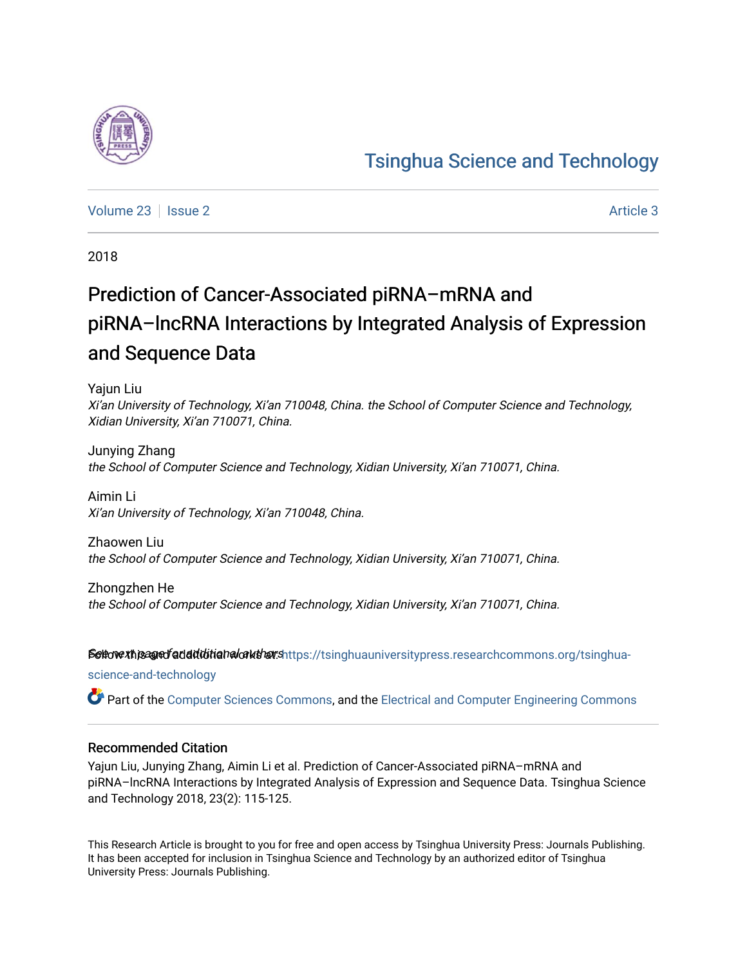## [Tsinghua Science and Technology](https://tsinghuauniversitypress.researchcommons.org/tsinghua-science-and-technology)

[Volume 23](https://tsinghuauniversitypress.researchcommons.org/tsinghua-science-and-technology/vol23) | [Issue 2](https://tsinghuauniversitypress.researchcommons.org/tsinghua-science-and-technology/vol23/iss2) [Article 3](https://tsinghuauniversitypress.researchcommons.org/tsinghua-science-and-technology/vol23/iss2/3) Article 3

2018

# Prediction of Cancer-Associated piRNA–mRNA and piRNA–lncRNA Interactions by Integrated Analysis of Expression and Sequence Data

Yajun Liu Xi'an University of Technology, Xi'an 710048, China. the School of Computer Science and Technology, Xidian University, Xi'an 710071, China.

Junying Zhang the School of Computer Science and Technology, Xidian University, Xi'an 710071, China.

Aimin Li Xi'an University of Technology, Xi'an 710048, China.

Zhaowen Liu the School of Computer Science and Technology, Xidian University, Xi'an 710071, China.

Zhongzhen He the School of Computer Science and Technology, Xidian University, Xi'an 710071, China.

Settovextipaged additional authorshittps://tsinghuauniversitypress.researchcommons.org/tsinghua-

[science-and-technology](https://tsinghuauniversitypress.researchcommons.org/tsinghua-science-and-technology?utm_source=tsinghuauniversitypress.researchcommons.org%2Ftsinghua-science-and-technology%2Fvol23%2Fiss2%2F3&utm_medium=PDF&utm_campaign=PDFCoverPages)

Part of the [Computer Sciences Commons](http://network.bepress.com/hgg/discipline/142?utm_source=tsinghuauniversitypress.researchcommons.org%2Ftsinghua-science-and-technology%2Fvol23%2Fiss2%2F3&utm_medium=PDF&utm_campaign=PDFCoverPages), and the [Electrical and Computer Engineering Commons](http://network.bepress.com/hgg/discipline/266?utm_source=tsinghuauniversitypress.researchcommons.org%2Ftsinghua-science-and-technology%2Fvol23%2Fiss2%2F3&utm_medium=PDF&utm_campaign=PDFCoverPages)

## Recommended Citation

Yajun Liu, Junying Zhang, Aimin Li et al. Prediction of Cancer-Associated piRNA–mRNA and piRNA–lncRNA Interactions by Integrated Analysis of Expression and Sequence Data. Tsinghua Science and Technology 2018, 23(2): 115-125.

This Research Article is brought to you for free and open access by Tsinghua University Press: Journals Publishing. It has been accepted for inclusion in Tsinghua Science and Technology by an authorized editor of Tsinghua University Press: Journals Publishing.

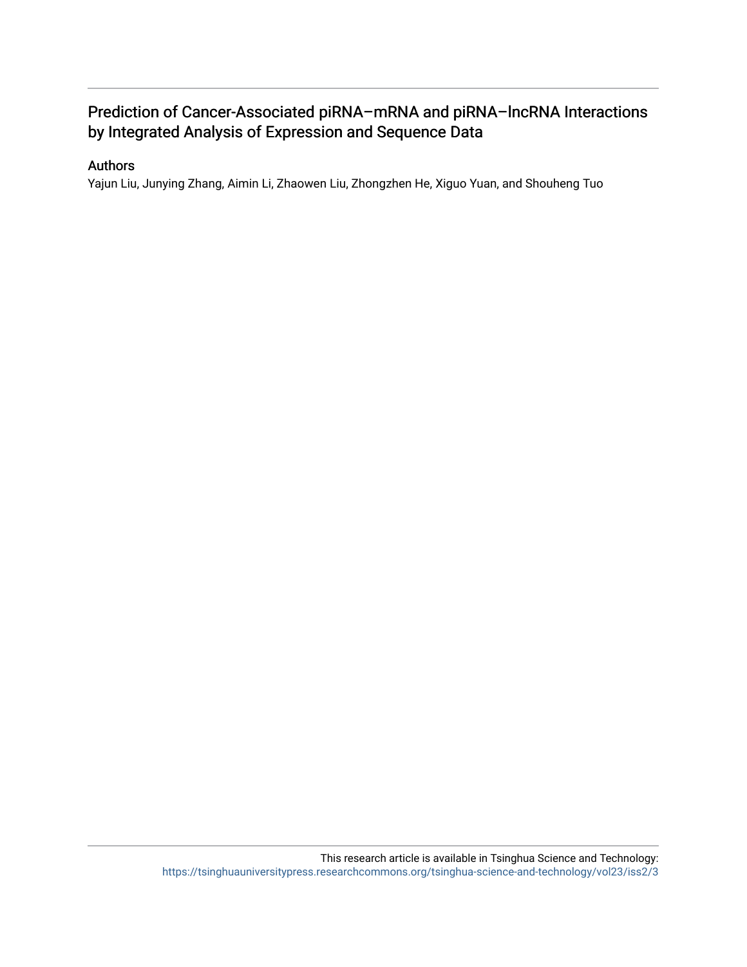## Prediction of Cancer-Associated piRNA–mRNA and piRNA–lncRNA Interactions by Integrated Analysis of Expression and Sequence Data

## Authors

Yajun Liu, Junying Zhang, Aimin Li, Zhaowen Liu, Zhongzhen He, Xiguo Yuan, and Shouheng Tuo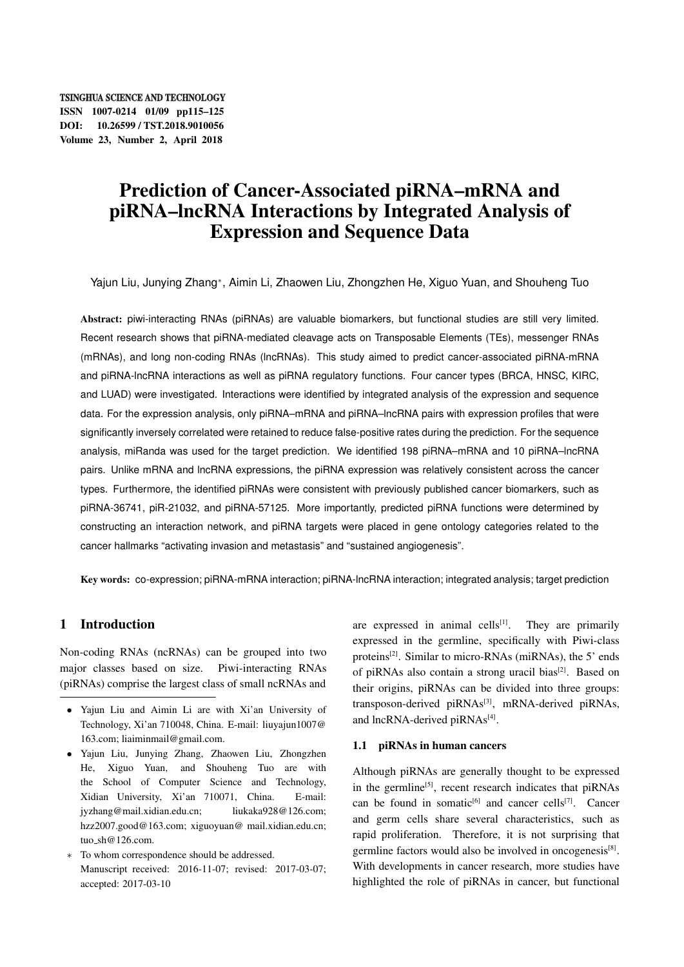**TSINGHUA SCIENCE AND TECHNOLOGY** ISSN 1007-0214 01/09 pp115–125 DOI: 10.26599 / TST.2018.9010056 Volume 23, Number 2, April 2018

## Prediction of Cancer-Associated piRNA–mRNA and piRNA–lncRNA Interactions by Integrated Analysis of Expression and Sequence Data

Yajun Liu, Junying Zhang∗, Aimin Li, Zhaowen Liu, Zhongzhen He, Xiguo Yuan, and Shouheng Tuo

Abstract: piwi-interacting RNAs (piRNAs) are valuable biomarkers, but functional studies are still very limited. Recent research shows that piRNA-mediated cleavage acts on Transposable Elements (TEs), messenger RNAs (mRNAs), and long non-coding RNAs (lncRNAs). This study aimed to predict cancer-associated piRNA-mRNA and piRNA-lncRNA interactions as well as piRNA regulatory functions. Four cancer types (BRCA, HNSC, KIRC, and LUAD) were investigated. Interactions were identified by integrated analysis of the expression and sequence data. For the expression analysis, only piRNA–mRNA and piRNA–lncRNA pairs with expression profiles that were significantly inversely correlated were retained to reduce false-positive rates during the prediction. For the sequence analysis, miRanda was used for the target prediction. We identified 198 piRNA–mRNA and 10 piRNA–lncRNA pairs. Unlike mRNA and lncRNA expressions, the piRNA expression was relatively consistent across the cancer types. Furthermore, the identified piRNAs were consistent with previously published cancer biomarkers, such as piRNA-36741, piR-21032, and piRNA-57125. More importantly, predicted piRNA functions were determined by constructing an interaction network, and piRNA targets were placed in gene ontology categories related to the cancer hallmarks "activating invasion and metastasis" and "sustained angiogenesis".

Key words: co-expression; piRNA-mRNA interaction; piRNA-lncRNA interaction; integrated analysis; target prediction

## 1 Introduction

Non-coding RNAs (ncRNAs) can be grouped into two major classes based on size. Piwi-interacting RNAs (piRNAs) comprise the largest class of small ncRNAs and

- *•* Yajun Liu and Aimin Li are with Xi'an University of Technology, Xi'an 710048, China. E-mail: liuyajun1007@ 163.com; liaiminmail@gmail.com.
- *•* Yajun Liu, Junying Zhang, Zhaowen Liu, Zhongzhen He, Xiguo Yuan, and Shouheng Tuo are with the School of Computer Science and Technology, Xidian University, Xi'an 710071, China. E-mail: jyzhang@mail.xidian.edu.cn; liukaka928@126.com; hzz2007.good@163.com; xiguoyuan@ mail.xidian.edu.cn; tuo\_sh@126.com.
- *∗* To whom correspondence should be addressed. Manuscript received: 2016-11-07; revised: 2017-03-07; accepted: 2017-03-10

are expressed in animal cells $[1]$ . They are primarily expressed in the germline, specifically with Piwi-class proteins<sup>[2]</sup>. Similar to micro-RNAs (miRNAs), the 5' ends of piRNAs also contain a strong uracil bias<sup>[2]</sup>. Based on their origins, piRNAs can be divided into three groups: transposon-derived piRNAs<sup>[3]</sup>, mRNA-derived piRNAs, and lncRNA-derived piRNAs<sup>[4]</sup>.

#### 1.1 piRNAs in human cancers

Although piRNAs are generally thought to be expressed in the germline<sup>[5]</sup>, recent research indicates that  $pi$ RNAs can be found in somatic<sup>[6]</sup> and cancer cells<sup>[7]</sup>. Cancer and germ cells share several characteristics, such as rapid proliferation. Therefore, it is not surprising that germline factors would also be involved in oncogenesis<sup>[8]</sup>. With developments in cancer research, more studies have highlighted the role of piRNAs in cancer, but functional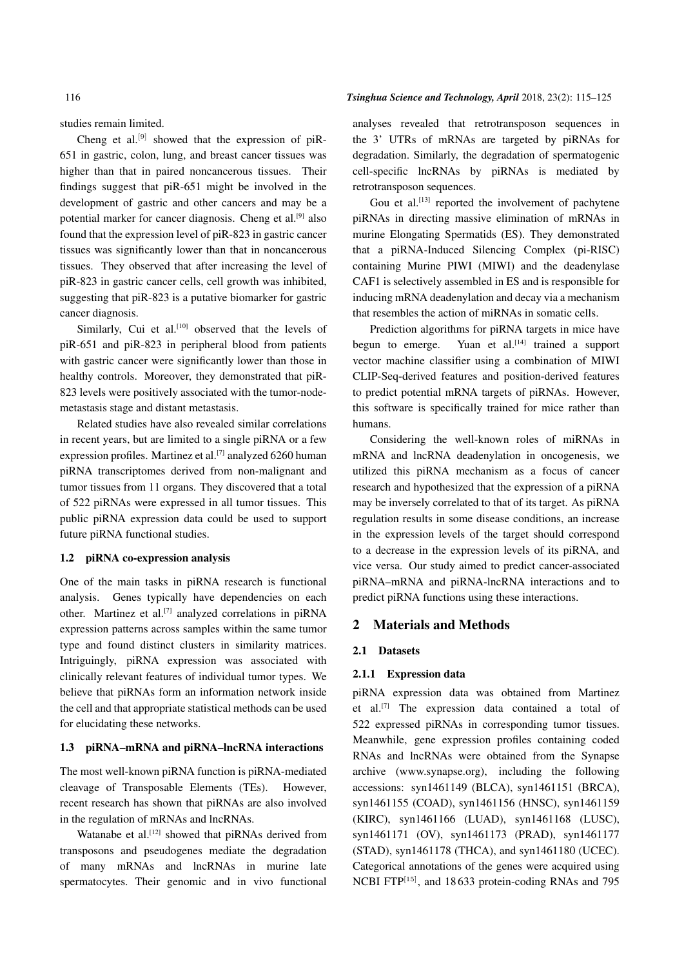studies remain limited.

Cheng et al.<sup>[9]</sup> showed that the expression of piR-651 in gastric, colon, lung, and breast cancer tissues was higher than that in paired noncancerous tissues. Their findings suggest that piR-651 might be involved in the development of gastric and other cancers and may be a potential marker for cancer diagnosis. Cheng et al.<sup>[9]</sup> also found that the expression level of piR-823 in gastric cancer tissues was significantly lower than that in noncancerous tissues. They observed that after increasing the level of piR-823 in gastric cancer cells, cell growth was inhibited, suggesting that piR-823 is a putative biomarker for gastric cancer diagnosis.

Similarly, Cui et al.<sup>[10]</sup> observed that the levels of piR-651 and piR-823 in peripheral blood from patients with gastric cancer were significantly lower than those in healthy controls. Moreover, they demonstrated that piR-823 levels were positively associated with the tumor-nodemetastasis stage and distant metastasis.

Related studies have also revealed similar correlations in recent years, but are limited to a single piRNA or a few expression profiles. Martinez et al.<sup>[7]</sup> analyzed 6260 human piRNA transcriptomes derived from non-malignant and tumor tissues from 11 organs. They discovered that a total of 522 piRNAs were expressed in all tumor tissues. This public piRNA expression data could be used to support future piRNA functional studies.

### 1.2 piRNA co-expression analysis

One of the main tasks in piRNA research is functional analysis. Genes typically have dependencies on each other. Martinez et al.<sup>[7]</sup> analyzed correlations in piRNA expression patterns across samples within the same tumor type and found distinct clusters in similarity matrices. Intriguingly, piRNA expression was associated with clinically relevant features of individual tumor types. We believe that piRNAs form an information network inside the cell and that appropriate statistical methods can be used for elucidating these networks.

### 1.3 piRNA–mRNA and piRNA–lncRNA interactions

The most well-known piRNA function is piRNA-mediated cleavage of Transposable Elements (TEs). However, recent research has shown that piRNAs are also involved in the regulation of mRNAs and lncRNAs.

Watanabe et al.<sup>[12]</sup> showed that piRNAs derived from transposons and pseudogenes mediate the degradation of many mRNAs and lncRNAs in murine late spermatocytes. Their genomic and in vivo functional

#### 116 *Tsinghua Science and Technology, April* 2018, 23(2): 115–125

analyses revealed that retrotransposon sequences in the 3' UTRs of mRNAs are targeted by piRNAs for degradation. Similarly, the degradation of spermatogenic cell-specific lncRNAs by piRNAs is mediated by retrotransposon sequences.

Gou et al. $^{[13]}$  reported the involvement of pachytene piRNAs in directing massive elimination of mRNAs in murine Elongating Spermatids (ES). They demonstrated that a piRNA-Induced Silencing Complex (pi-RISC) containing Murine PIWI (MIWI) and the deadenylase CAF1 is selectively assembled in ES and is responsible for inducing mRNA deadenylation and decay via a mechanism that resembles the action of miRNAs in somatic cells.

Prediction algorithms for piRNA targets in mice have begun to emerge. Yuan et al.<sup>[14]</sup> trained a support vector machine classifier using a combination of MIWI CLIP-Seq-derived features and position-derived features to predict potential mRNA targets of piRNAs. However, this software is specifically trained for mice rather than humans.

Considering the well-known roles of miRNAs in mRNA and lncRNA deadenylation in oncogenesis, we utilized this piRNA mechanism as a focus of cancer research and hypothesized that the expression of a piRNA may be inversely correlated to that of its target. As piRNA regulation results in some disease conditions, an increase in the expression levels of the target should correspond to a decrease in the expression levels of its piRNA, and vice versa. Our study aimed to predict cancer-associated piRNA–mRNA and piRNA-lncRNA interactions and to predict piRNA functions using these interactions.

#### 2 Materials and Methods

#### 2.1 Datasets

### 2.1.1 Expression data

piRNA expression data was obtained from Martinez et al.[7] The expression data contained a total of 522 expressed piRNAs in corresponding tumor tissues. Meanwhile, gene expression profiles containing coded RNAs and lncRNAs were obtained from the Synapse archive (www.synapse.org), including the following accessions: syn1461149 (BLCA), syn1461151 (BRCA), syn1461155 (COAD), syn1461156 (HNSC), syn1461159 (KIRC), syn1461166 (LUAD), syn1461168 (LUSC), syn1461171 (OV), syn1461173 (PRAD), syn1461177 (STAD), syn1461178 (THCA), and syn1461180 (UCEC). Categorical annotations of the genes were acquired using NCBI FTP<sup>[15]</sup>, and 18 633 protein-coding RNAs and 795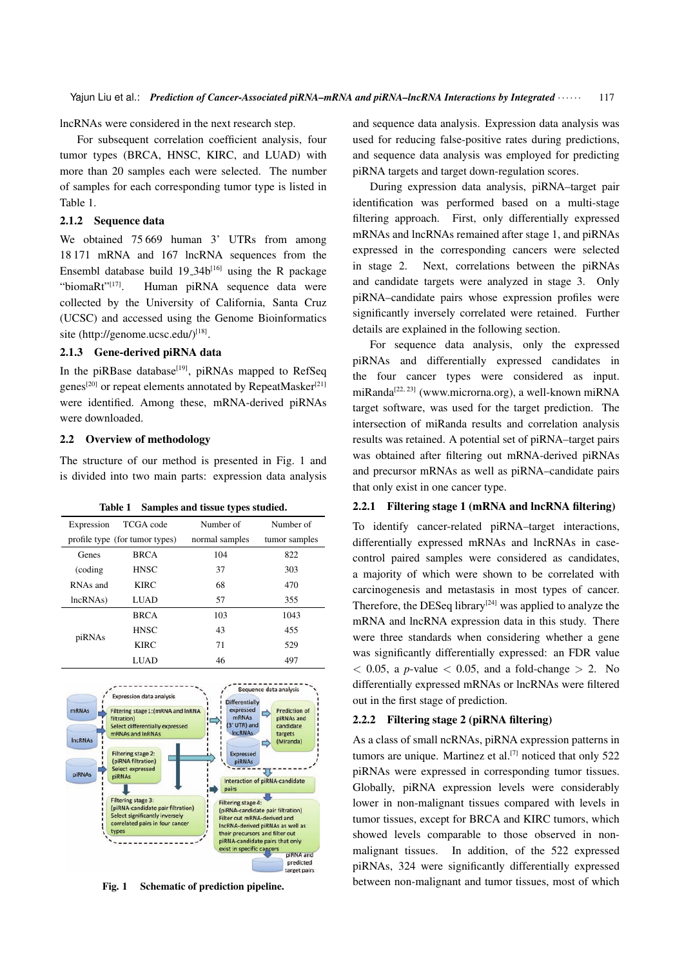lncRNAs were considered in the next research step.

For subsequent correlation coefficient analysis, four tumor types (BRCA, HNSC, KIRC, and LUAD) with more than 20 samples each were selected. The number of samples for each corresponding tumor type is listed in Table 1.

#### 2.1.2 Sequence data

We obtained 75 669 human 3' UTRs from among 18 171 mRNA and 167 lncRNA sequences from the Ensembl database build  $19-34b^{[16]}$  using the R package "biomaRt"<sup>[17]</sup>. Human piRNA sequence data were collected by the University of California, Santa Cruz (UCSC) and accessed using the Genome Bioinformatics site (http://genome.ucsc.edu/)<sup>[18]</sup>.

## 2.1.3 Gene-derived piRNA data

In the piRBase database<sup>[19]</sup>, piRNAs mapped to RefSeq genes<sup>[20]</sup> or repeat elements annotated by RepeatMasker<sup>[21]</sup> were identified. Among these, mRNA-derived piRNAs were downloaded.

#### 2.2 Overview of methodology

The structure of our method is presented in Fig. 1 and is divided into two main parts: expression data analysis

| Expression | TCGA code                      | Number of      | Number of     |
|------------|--------------------------------|----------------|---------------|
|            | profile type (for tumor types) | normal samples | tumor samples |
| Genes      | <b>BRCA</b>                    | 104            | 822           |
| (coding)   | <b>HNSC</b>                    | 37             | 303           |
| RNAs and   | <b>KIRC</b>                    | 68             | 470           |
| lncRNAs    | LUAD                           | 57             | 355           |
|            | <b>BRCA</b>                    | 103            | 1043          |
| piRNAs     | <b>HNSC</b>                    | 43             | 455           |
|            | <b>KIRC</b>                    | 71             | 529           |
|            | LUAD                           | 46             | 497           |

Table 1 Samples and tissue types studied.



Fig. 1 Schematic of prediction pipeline.

and sequence data analysis. Expression data analysis was used for reducing false-positive rates during predictions, and sequence data analysis was employed for predicting piRNA targets and target down-regulation scores.

During expression data analysis, piRNA–target pair identification was performed based on a multi-stage filtering approach. First, only differentially expressed mRNAs and lncRNAs remained after stage 1, and piRNAs expressed in the corresponding cancers were selected in stage 2. Next, correlations between the piRNAs and candidate targets were analyzed in stage 3. Only piRNA–candidate pairs whose expression profiles were significantly inversely correlated were retained. Further details are explained in the following section.

For sequence data analysis, only the expressed piRNAs and differentially expressed candidates in the four cancer types were considered as input. miRanda<sup>[22, 23]</sup> (www.microrna.org), a well-known miRNA target software, was used for the target prediction. The intersection of miRanda results and correlation analysis results was retained. A potential set of piRNA–target pairs was obtained after filtering out mRNA-derived piRNAs and precursor mRNAs as well as piRNA–candidate pairs that only exist in one cancer type.

#### 2.2.1 Filtering stage 1 (mRNA and lncRNA filtering)

To identify cancer-related piRNA–target interactions, differentially expressed mRNAs and lncRNAs in casecontrol paired samples were considered as candidates, a majority of which were shown to be correlated with carcinogenesis and metastasis in most types of cancer. Therefore, the DESeq library<sup>[24]</sup> was applied to analyze the mRNA and lncRNA expression data in this study. There were three standards when considering whether a gene was significantly differentially expressed: an FDR value *<* 0.05, a *p*-value *<* 0.05, and a fold-change *>* 2. No differentially expressed mRNAs or lncRNAs were filtered out in the first stage of prediction.

#### 2.2.2 Filtering stage 2 (piRNA filtering)

As a class of small ncRNAs, piRNA expression patterns in tumors are unique. Martinez et al.<sup>[7]</sup> noticed that only 522 piRNAs were expressed in corresponding tumor tissues. Globally, piRNA expression levels were considerably lower in non-malignant tissues compared with levels in tumor tissues, except for BRCA and KIRC tumors, which showed levels comparable to those observed in nonmalignant tissues. In addition, of the 522 expressed piRNAs, 324 were significantly differentially expressed between non-malignant and tumor tissues, most of which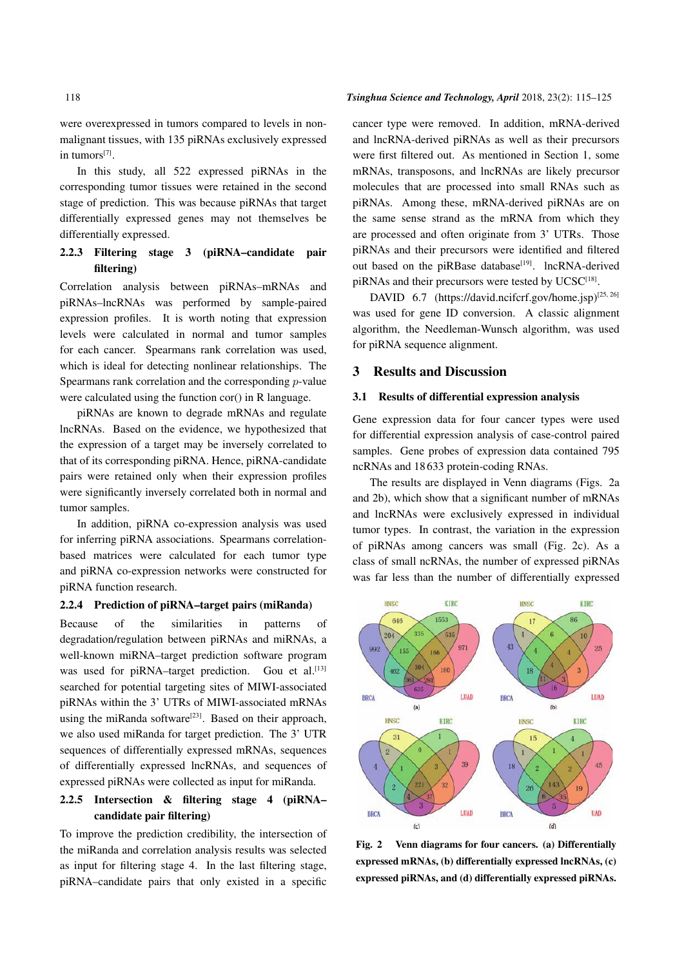were overexpressed in tumors compared to levels in nonmalignant tissues, with 135 piRNAs exclusively expressed in tumors<sup>[7]</sup>.

In this study, all 522 expressed piRNAs in the corresponding tumor tissues were retained in the second stage of prediction. This was because piRNAs that target differentially expressed genes may not themselves be differentially expressed.

## 2.2.3 Filtering stage 3 (piRNA–candidate pair filtering)

Correlation analysis between piRNAs–mRNAs and piRNAs–lncRNAs was performed by sample-paired expression profiles. It is worth noting that expression levels were calculated in normal and tumor samples for each cancer. Spearmans rank correlation was used, which is ideal for detecting nonlinear relationships. The Spearmans rank correlation and the corresponding *p*-value were calculated using the function cor() in R language.

piRNAs are known to degrade mRNAs and regulate lncRNAs. Based on the evidence, we hypothesized that the expression of a target may be inversely correlated to that of its corresponding piRNA. Hence, piRNA-candidate pairs were retained only when their expression profiles were significantly inversely correlated both in normal and tumor samples.

In addition, piRNA co-expression analysis was used for inferring piRNA associations. Spearmans correlationbased matrices were calculated for each tumor type and piRNA co-expression networks were constructed for piRNA function research.

#### 2.2.4 Prediction of piRNA–target pairs (miRanda)

Because of the similarities in patterns of degradation/regulation between piRNAs and miRNAs, a well-known miRNA–target prediction software program was used for piRNA-target prediction. Gou et al.<sup>[13]</sup> searched for potential targeting sites of MIWI-associated piRNAs within the 3' UTRs of MIWI-associated mRNAs using the miRanda software<sup>[23]</sup>. Based on their approach, we also used miRanda for target prediction. The 3' UTR sequences of differentially expressed mRNAs, sequences of differentially expressed lncRNAs, and sequences of expressed piRNAs were collected as input for miRanda.

## 2.2.5 Intersection & filtering stage 4 (piRNA– candidate pair filtering)

To improve the prediction credibility, the intersection of the miRanda and correlation analysis results was selected as input for filtering stage 4. In the last filtering stage, piRNA–candidate pairs that only existed in a specific cancer type were removed. In addition, mRNA-derived and lncRNA-derived piRNAs as well as their precursors were first filtered out. As mentioned in Section 1, some mRNAs, transposons, and lncRNAs are likely precursor molecules that are processed into small RNAs such as piRNAs. Among these, mRNA-derived piRNAs are on the same sense strand as the mRNA from which they are processed and often originate from 3' UTRs. Those piRNAs and their precursors were identified and filtered out based on the piRBase database<sup>[19]</sup>. lncRNA-derived piRNAs and their precursors were tested by  $UCSC^{[18]}$ .

DAVID 6.7 (https://david.ncifcrf.gov/home.jsp)<sup>[25, 26]</sup> was used for gene ID conversion. A classic alignment algorithm, the Needleman-Wunsch algorithm, was used for piRNA sequence alignment.

## 3 Results and Discussion

### 3.1 Results of differential expression analysis

Gene expression data for four cancer types were used for differential expression analysis of case-control paired samples. Gene probes of expression data contained 795 ncRNAs and 18 633 protein-coding RNAs.

The results are displayed in Venn diagrams (Figs. 2a and 2b), which show that a significant number of mRNAs and lncRNAs were exclusively expressed in individual tumor types. In contrast, the variation in the expression of piRNAs among cancers was small (Fig. 2c). As a class of small ncRNAs, the number of expressed piRNAs was far less than the number of differentially expressed



Fig. 2 Venn diagrams for four cancers. (a) Differentially expressed mRNAs, (b) differentially expressed lncRNAs, (c) expressed piRNAs, and (d) differentially expressed piRNAs.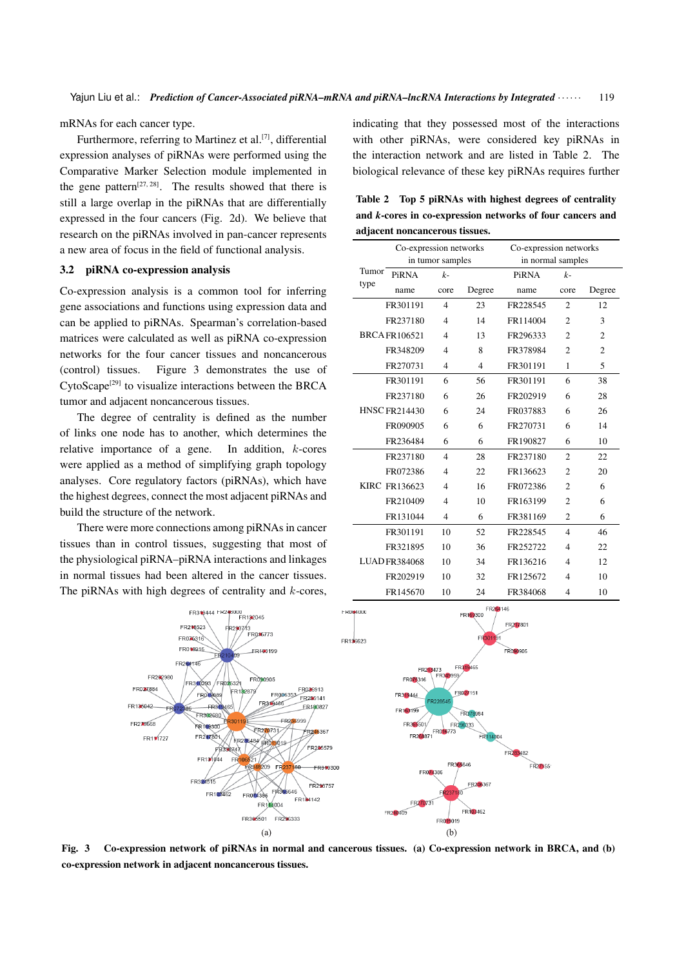mRNAs for each cancer type.

Furthermore, referring to Martinez et al.<sup>[7]</sup>, differential expression analyses of piRNAs were performed using the Comparative Marker Selection module implemented in the gene pattern<sup>[27, 28]</sup>. The results showed that there is still a large overlap in the piRNAs that are differentially expressed in the four cancers (Fig. 2d). We believe that research on the piRNAs involved in pan-cancer represents a new area of focus in the field of functional analysis.

#### 3.2 piRNA co-expression analysis

Co-expression analysis is a common tool for inferring gene associations and functions using expression data and can be applied to piRNAs. Spearman's correlation-based matrices were calculated as well as piRNA co-expression networks for the four cancer tissues and noncancerous (control) tissues. Figure 3 demonstrates the use of CytoScape[29] to visualize interactions between the BRCA tumor and adjacent noncancerous tissues.

The degree of centrality is defined as the number of links one node has to another, which determines the relative importance of a gene. In addition, *k*-cores were applied as a method of simplifying graph topology analyses. Core regulatory factors (piRNAs), which have the highest degrees, connect the most adjacent piRNAs and build the structure of the network.

There were more connections among piRNAs in cancer tissues than in control tissues, suggesting that most of the physiological piRNA–piRNA interactions and linkages in normal tissues had been altered in the cancer tissues. The piRNAs with high degrees of centrality and *k*-cores, indicating that they possessed most of the interactions with other piRNAs, were considered key piRNAs in the interaction network and are listed in Table 2. The biological relevance of these key piRNAs requires further

Table 2 Top 5 piRNAs with highest degrees of centrality and *k*-cores in co-expression networks of four cancers and adjacent noncancerous tissues.

|               | Co-expression networks |                | Co-expression networks |          |                   |                |  |
|---------------|------------------------|----------------|------------------------|----------|-------------------|----------------|--|
| Tumor<br>type | in tumor samples       |                |                        |          | in normal samples |                |  |
|               | PiRNA                  | $k-$           |                        | PiRNA    | $k-$              |                |  |
|               | name                   | core           | Degree                 | name     | core              | Degree         |  |
|               | FR301191               | $\overline{4}$ | 23                     | FR228545 | $\overline{c}$    | 12             |  |
|               | FR237180               | $\overline{4}$ | 14                     | FR114004 | $\overline{2}$    | 3              |  |
|               | <b>BRCAFR106521</b>    | 4              | 13                     | FR296333 | $\overline{c}$    | $\overline{2}$ |  |
|               | FR348209               | $\overline{4}$ | 8                      | FR378984 | $\overline{c}$    | $\overline{2}$ |  |
|               | FR270731               | 4              | $\overline{4}$         | FR301191 | $\mathbf{1}$      | 5              |  |
|               | FR301191               | 6              | 56                     | FR301191 | 6                 | 38             |  |
|               | FR237180               | 6              | 26                     | FR202919 | 6                 | 28             |  |
|               | <b>HNSC FR214430</b>   | 6              | 24                     | FR037883 | 6                 | 26             |  |
|               | FR090905               | 6              | 6                      | FR270731 | 6                 | 14             |  |
|               | FR236484               | 6              | 6                      | FR190827 | 6                 | 10             |  |
|               | FR237180               | $\overline{4}$ | 28                     | FR237180 | $\overline{c}$    | 22             |  |
|               | FR072386               | 4              | 22                     | FR136623 | 2                 | 20             |  |
|               | <b>KIRC FR136623</b>   | 4              | 16                     | FR072386 | $\overline{c}$    | 6              |  |
|               | FR210409               | 4              | 10                     | FR163199 | $\overline{c}$    | 6              |  |
|               | FR131044               | 4              | 6                      | FR381169 | 2                 | 6              |  |
|               | FR301191               | 10             | 52                     | FR228545 | $\overline{4}$    | 46             |  |
|               | FR321895               | 10             | 36                     | FR252722 | 4                 | 22             |  |
|               | <b>LUADFR384068</b>    | 10             | 34                     | FR136216 | 4                 | 12             |  |
|               | FR202919               | 10             | 32                     | FR125672 | 4                 | 10             |  |
|               | FR145670               | 10             | 24                     | FR384068 | 4                 | 10             |  |



Fig. 3 Co-expression network of piRNAs in normal and cancerous tissues. (a) Co-expression network in BRCA, and (b) co-expression network in adjacent noncancerous tissues.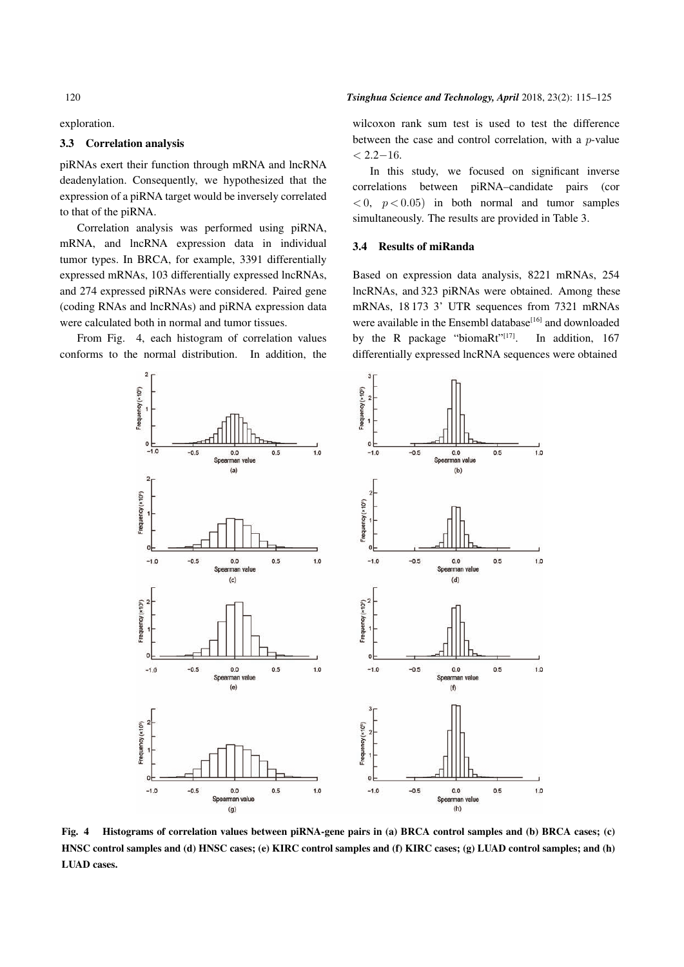exploration.

## 3.3 Correlation analysis

piRNAs exert their function through mRNA and lncRNA deadenylation. Consequently, we hypothesized that the expression of a piRNA target would be inversely correlated to that of the piRNA.

Correlation analysis was performed using piRNA, mRNA, and lncRNA expression data in individual tumor types. In BRCA, for example, 3391 differentially expressed mRNAs, 103 differentially expressed lncRNAs, and 274 expressed piRNAs were considered. Paired gene (coding RNAs and lncRNAs) and piRNA expression data were calculated both in normal and tumor tissues.

From Fig. 4, each histogram of correlation values conforms to the normal distribution. In addition, the

#### 120 *Tsinghua Science and Technology, April* 2018, 23(2): 115–125

wilcoxon rank sum test is used to test the difference between the case and control correlation, with a *p*-value *<* 2.2*−*16.

In this study, we focused on significant inverse correlations between piRNA–candidate pairs (cor  $(0, p<0.05)$  in both normal and tumor samples simultaneously. The results are provided in Table 3.

#### 3.4 Results of miRanda

Based on expression data analysis, 8221 mRNAs, 254 lncRNAs, and 323 piRNAs were obtained. Among these mRNAs, 18 173 3' UTR sequences from 7321 mRNAs were available in the Ensembl database<sup>[16]</sup> and downloaded by the R package "bioma $Rt$ "[17]. In addition, 167 differentially expressed lncRNA sequences were obtained



Fig. 4 Histograms of correlation values between piRNA-gene pairs in (a) BRCA control samples and (b) BRCA cases; (c) HNSC control samples and (d) HNSC cases; (e) KIRC control samples and (f) KIRC cases; (g) LUAD control samples; and (h) LUAD cases.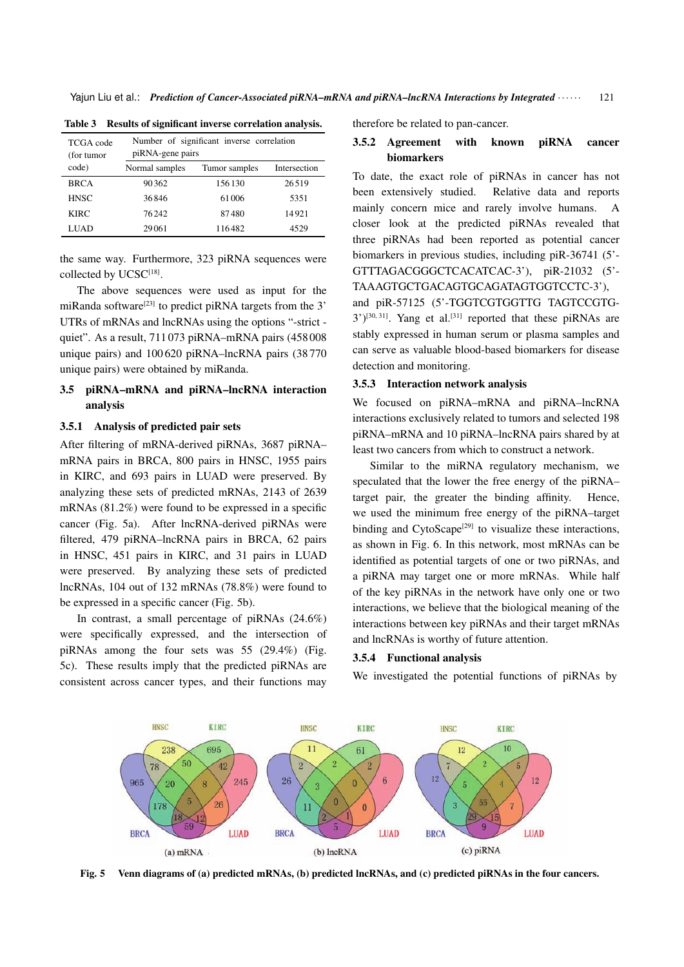| TCGA code<br>(for tumor | Number of significant inverse correlation<br>piRNA-gene pairs |               |              |  |  |  |
|-------------------------|---------------------------------------------------------------|---------------|--------------|--|--|--|
| code)                   | Normal samples                                                | Tumor samples | Intersection |  |  |  |
| <b>BRCA</b>             | 90362                                                         | 156130        | 26519        |  |  |  |
| <b>HNSC</b>             | 36846                                                         | 61006         | 5351         |  |  |  |
| <b>KIRC</b>             | 76242                                                         | 87480         | 14921        |  |  |  |
| LUAD                    | 29061                                                         | 116482        | 4529         |  |  |  |

Table 3 Results of significant inverse correlation analysis.

the same way. Furthermore, 323 piRNA sequences were collected by  $UCSC^{[18]}.$ 

The above sequences were used as input for the miRanda software<sup>[23]</sup> to predict piRNA targets from the 3' UTRs of mRNAs and lncRNAs using the options "-strict quiet". As a result, 711 073 piRNA–mRNA pairs (458 008 unique pairs) and 100 620 piRNA–lncRNA pairs (38 770 unique pairs) were obtained by miRanda.

## 3.5 piRNA–mRNA and piRNA–lncRNA interaction analysis

## 3.5.1 Analysis of predicted pair sets

After filtering of mRNA-derived piRNAs, 3687 piRNA– mRNA pairs in BRCA, 800 pairs in HNSC, 1955 pairs in KIRC, and 693 pairs in LUAD were preserved. By analyzing these sets of predicted mRNAs, 2143 of 2639 mRNAs (81.2%) were found to be expressed in a specific cancer (Fig. 5a). After lncRNA-derived piRNAs were filtered, 479 piRNA–lncRNA pairs in BRCA, 62 pairs in HNSC, 451 pairs in KIRC, and 31 pairs in LUAD were preserved. By analyzing these sets of predicted lncRNAs, 104 out of 132 mRNAs (78.8%) were found to be expressed in a specific cancer (Fig. 5b).

In contrast, a small percentage of piRNAs (24.6%) were specifically expressed, and the intersection of piRNAs among the four sets was 55 (29.4%) (Fig. 5c). These results imply that the predicted piRNAs are consistent across cancer types, and their functions may therefore be related to pan-cancer.

## 3.5.2 Agreement with known piRNA cancer biomarkers

To date, the exact role of piRNAs in cancer has not been extensively studied. Relative data and reports mainly concern mice and rarely involve humans. A closer look at the predicted piRNAs revealed that three piRNAs had been reported as potential cancer biomarkers in previous studies, including piR-36741 (5'- GTTTAGACGGGCTCACATCAC-3'), piR-21032 (5'- TAAAGTGCTGACAGTGCAGATAGTGGTCCTC-3'),

and piR-57125 (5'-TGGTCGTGGTTG TAGTCCGTG- $3'$ )<sup>[30, 31]</sup>. Yang et al.<sup>[31]</sup> reported that these piRNAs are stably expressed in human serum or plasma samples and can serve as valuable blood-based biomarkers for disease detection and monitoring.

## 3.5.3 Interaction network analysis

We focused on piRNA–mRNA and piRNA–lncRNA interactions exclusively related to tumors and selected 198 piRNA–mRNA and 10 piRNA–lncRNA pairs shared by at least two cancers from which to construct a network.

Similar to the miRNA regulatory mechanism, we speculated that the lower the free energy of the piRNA– target pair, the greater the binding affinity. Hence, we used the minimum free energy of the piRNA–target binding and  $\text{CytoScope}^{[29]}$  to visualize these interactions, as shown in Fig. 6. In this network, most mRNAs can be identified as potential targets of one or two piRNAs, and a piRNA may target one or more mRNAs. While half of the key piRNAs in the network have only one or two interactions, we believe that the biological meaning of the interactions between key piRNAs and their target mRNAs and lncRNAs is worthy of future attention.

#### 3.5.4 Functional analysis

We investigated the potential functions of piRNAs by



Fig. 5 Venn diagrams of (a) predicted mRNAs, (b) predicted lncRNAs, and (c) predicted piRNAs in the four cancers.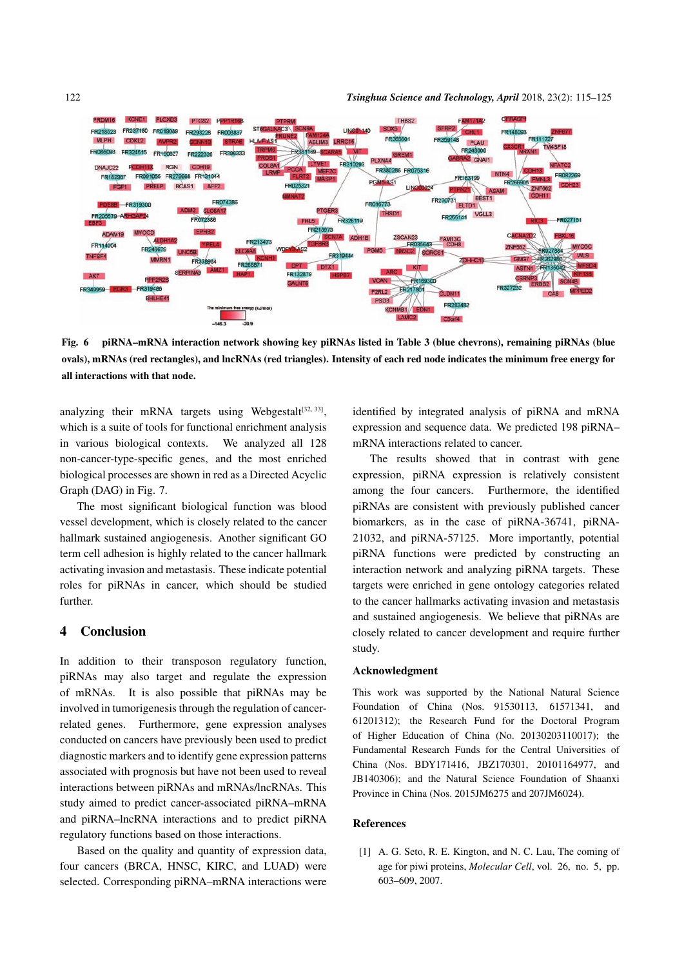

Fig. 6 piRNA–mRNA interaction network showing key piRNAs listed in Table 3 (blue chevrons), remaining piRNAs (blue ovals), mRNAs (red rectangles), and lncRNAs (red triangles). Intensity of each red node indicates the minimum free energy for all interactions with that node.

analyzing their mRNA targets using Webgestalt $[32, 33]$ , which is a suite of tools for functional enrichment analysis in various biological contexts. We analyzed all 128 non-cancer-type-specific genes, and the most enriched biological processes are shown in red as a Directed Acyclic Graph (DAG) in Fig. 7.

The most significant biological function was blood vessel development, which is closely related to the cancer hallmark sustained angiogenesis. Another significant GO term cell adhesion is highly related to the cancer hallmark activating invasion and metastasis. These indicate potential roles for piRNAs in cancer, which should be studied further.

## 4 Conclusion

In addition to their transposon regulatory function, piRNAs may also target and regulate the expression of mRNAs. It is also possible that piRNAs may be involved in tumorigenesis through the regulation of cancerrelated genes. Furthermore, gene expression analyses conducted on cancers have previously been used to predict diagnostic markers and to identify gene expression patterns associated with prognosis but have not been used to reveal interactions between piRNAs and mRNAs/lncRNAs. This study aimed to predict cancer-associated piRNA–mRNA and piRNA–lncRNA interactions and to predict piRNA regulatory functions based on those interactions.

Based on the quality and quantity of expression data, four cancers (BRCA, HNSC, KIRC, and LUAD) were selected. Corresponding piRNA–mRNA interactions were identified by integrated analysis of piRNA and mRNA expression and sequence data. We predicted 198 piRNA– mRNA interactions related to cancer.

The results showed that in contrast with gene expression, piRNA expression is relatively consistent among the four cancers. Furthermore, the identified piRNAs are consistent with previously published cancer biomarkers, as in the case of piRNA-36741, piRNA-21032, and piRNA-57125. More importantly, potential piRNA functions were predicted by constructing an interaction network and analyzing piRNA targets. These targets were enriched in gene ontology categories related to the cancer hallmarks activating invasion and metastasis and sustained angiogenesis. We believe that piRNAs are closely related to cancer development and require further study.

#### Acknowledgment

This work was supported by the National Natural Science Foundation of China (Nos. 91530113, 61571341, and 61201312); the Research Fund for the Doctoral Program of Higher Education of China (No. 20130203110017); the Fundamental Research Funds for the Central Universities of China (Nos. BDY171416, JBZ170301, 20101164977, and JB140306); and the Natural Science Foundation of Shaanxi Province in China (Nos. 2015JM6275 and 207JM6024).

#### References

[1] A. G. Seto, R. E. Kington, and N. C. Lau, The coming of age for piwi proteins, *Molecular Cell*, vol. 26, no. 5, pp. 603–609, 2007.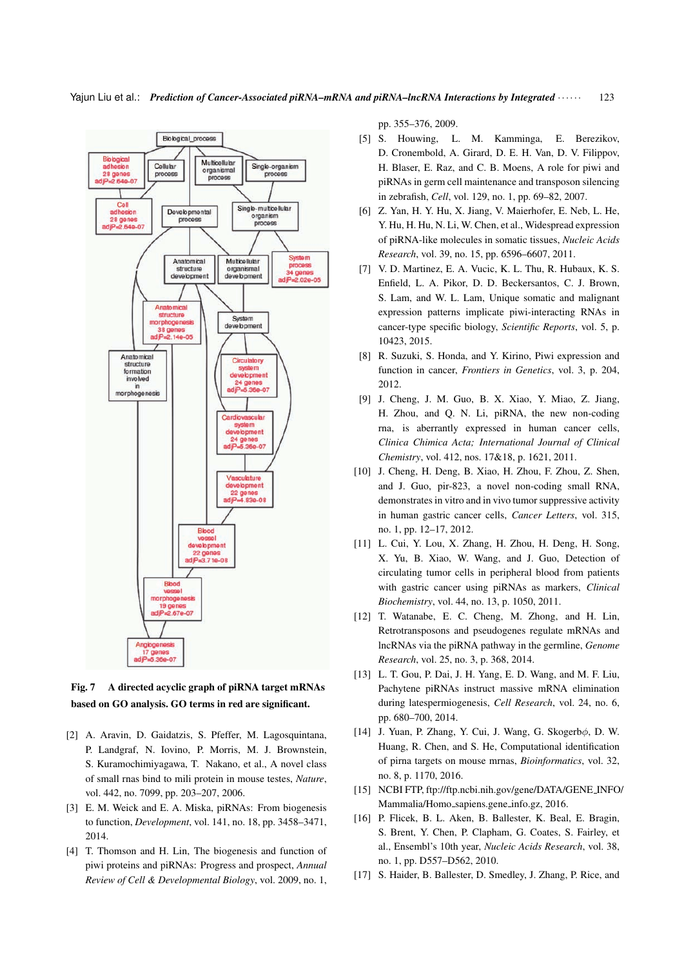

Fig. 7 A directed acyclic graph of piRNA target mRNAs based on GO analysis. GO terms in red are significant.

- [2] A. Aravin, D. Gaidatzis, S. Pfeffer, M. Lagosquintana, P. Landgraf, N. Iovino, P. Morris, M. J. Brownstein, S. Kuramochimiyagawa, T. Nakano, et al., A novel class of small rnas bind to mili protein in mouse testes, *Nature*, vol. 442, no. 7099, pp. 203–207, 2006.
- [3] E. M. Weick and E. A. Miska, piRNAs: From biogenesis to function, *Development*, vol. 141, no. 18, pp. 3458–3471, 2014.
- [4] T. Thomson and H. Lin, The biogenesis and function of piwi proteins and piRNAs: Progress and prospect, *Annual Review of Cell & Developmental Biology*, vol. 2009, no. 1,

pp. 355–376, 2009.

- [5] S. Houwing, L. M. Kamminga, E. Berezikov, D. Cronembold, A. Girard, D. E. H. Van, D. V. Filippov, H. Blaser, E. Raz, and C. B. Moens, A role for piwi and piRNAs in germ cell maintenance and transposon silencing in zebrafish, *Cell*, vol. 129, no. 1, pp. 69–82, 2007.
- [6] Z. Yan, H. Y. Hu, X. Jiang, V. Maierhofer, E. Neb, L. He, Y. Hu, H. Hu, N. Li, W. Chen, et al., Widespread expression of piRNA-like molecules in somatic tissues, *Nucleic Acids Research*, vol. 39, no. 15, pp. 6596–6607, 2011.
- [7] V. D. Martinez, E. A. Vucic, K. L. Thu, R. Hubaux, K. S. Enfield, L. A. Pikor, D. D. Beckersantos, C. J. Brown, S. Lam, and W. L. Lam, Unique somatic and malignant expression patterns implicate piwi-interacting RNAs in cancer-type specific biology, *Scientific Reports*, vol. 5, p. 10423, 2015.
- [8] R. Suzuki, S. Honda, and Y. Kirino, Piwi expression and function in cancer, *Frontiers in Genetics*, vol. 3, p. 204, 2012.
- [9] J. Cheng, J. M. Guo, B. X. Xiao, Y. Miao, Z. Jiang, H. Zhou, and Q. N. Li, piRNA, the new non-coding rna, is aberrantly expressed in human cancer cells, *Clinica Chimica Acta; International Journal of Clinical Chemistry*, vol. 412, nos. 17&18, p. 1621, 2011.
- [10] J. Cheng, H. Deng, B. Xiao, H. Zhou, F. Zhou, Z. Shen, and J. Guo, pir-823, a novel non-coding small RNA, demonstrates in vitro and in vivo tumor suppressive activity in human gastric cancer cells, *Cancer Letters*, vol. 315, no. 1, pp. 12–17, 2012.
- [11] L. Cui, Y. Lou, X. Zhang, H. Zhou, H. Deng, H. Song, X. Yu, B. Xiao, W. Wang, and J. Guo, Detection of circulating tumor cells in peripheral blood from patients with gastric cancer using piRNAs as markers, *Clinical Biochemistry*, vol. 44, no. 13, p. 1050, 2011.
- [12] T. Watanabe, E. C. Cheng, M. Zhong, and H. Lin, Retrotransposons and pseudogenes regulate mRNAs and lncRNAs via the piRNA pathway in the germline, *Genome Research*, vol. 25, no. 3, p. 368, 2014.
- [13] L. T. Gou, P. Dai, J. H. Yang, E. D. Wang, and M. F. Liu, Pachytene piRNAs instruct massive mRNA elimination during latespermiogenesis, *Cell Research*, vol. 24, no. 6, pp. 680–700, 2014.
- [14] J. Yuan, P. Zhang, Y. Cui, J. Wang, G. Skogerb*ϕ*, D. W. Huang, R. Chen, and S. He, Computational identification of pirna targets on mouse mrnas, *Bioinformatics*, vol. 32, no. 8, p. 1170, 2016.
- [15] NCBI FTP, ftp://ftp.ncbi.nih.gov/gene/DATA/GENE INFO/ Mammalia/Homo sapiens.gene info.gz, 2016.
- [16] P. Flicek, B. L. Aken, B. Ballester, K. Beal, E. Bragin, S. Brent, Y. Chen, P. Clapham, G. Coates, S. Fairley, et al., Ensembl's 10th year, *Nucleic Acids Research*, vol. 38, no. 1, pp. D557–D562, 2010.
- [17] S. Haider, B. Ballester, D. Smedley, J. Zhang, P. Rice, and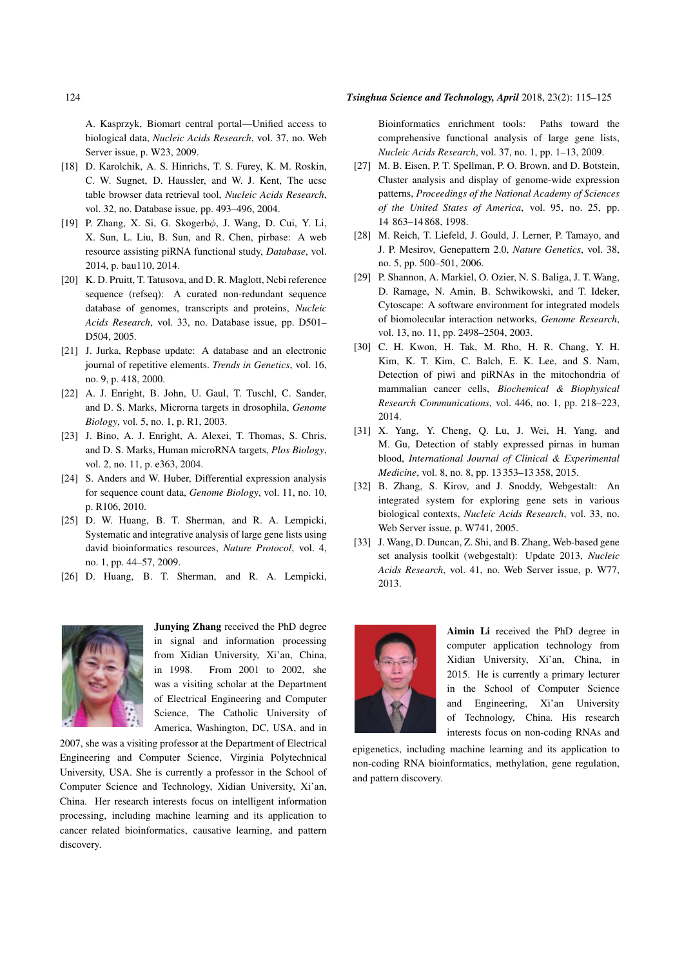A. Kasprzyk, Biomart central portal—Unified access to biological data, *Nucleic Acids Research*, vol. 37, no. Web Server issue, p. W23, 2009.

- [18] D. Karolchik, A. S. Hinrichs, T. S. Furey, K. M. Roskin, C. W. Sugnet, D. Haussler, and W. J. Kent, The ucsc table browser data retrieval tool, *Nucleic Acids Research*, vol. 32, no. Database issue, pp. 493–496, 2004.
- [19] P. Zhang, X. Si, G. Skogerb*ϕ*, J. Wang, D. Cui, Y. Li, X. Sun, L. Liu, B. Sun, and R. Chen, pirbase: A web resource assisting piRNA functional study, *Database*, vol. 2014, p. bau110, 2014.
- [20] K. D. Pruitt, T. Tatusova, and D. R. Maglott, Ncbi reference sequence (refseq): A curated non-redundant sequence database of genomes, transcripts and proteins, *Nucleic Acids Research*, vol. 33, no. Database issue, pp. D501– D504, 2005.
- [21] J. Jurka, Repbase update: A database and an electronic journal of repetitive elements. *Trends in Genetics*, vol. 16, no. 9, p. 418, 2000.
- [22] A. J. Enright, B. John, U. Gaul, T. Tuschl, C. Sander, and D. S. Marks, Microrna targets in drosophila, *Genome Biology*, vol. 5, no. 1, p. R1, 2003.
- [23] J. Bino, A. J. Enright, A. Alexei, T. Thomas, S. Chris, and D. S. Marks, Human microRNA targets, *Plos Biology*, vol. 2, no. 11, p. e363, 2004.
- [24] S. Anders and W. Huber, Differential expression analysis for sequence count data, *Genome Biology*, vol. 11, no. 10, p. R106, 2010.
- [25] D. W. Huang, B. T. Sherman, and R. A. Lempicki, Systematic and integrative analysis of large gene lists using david bioinformatics resources, *Nature Protocol*, vol. 4, no. 1, pp. 44–57, 2009.
- [26] D. Huang, B. T. Sherman, and R. A. Lempicki,



Junying Zhang received the PhD degree in signal and information processing from Xidian University, Xi'an, China, in 1998. From 2001 to 2002, she was a visiting scholar at the Department of Electrical Engineering and Computer Science, The Catholic University of America, Washington, DC, USA, and in

2007, she was a visiting professor at the Department of Electrical Engineering and Computer Science, Virginia Polytechnical University, USA. She is currently a professor in the School of Computer Science and Technology, Xidian University, Xi'an, China. Her research interests focus on intelligent information processing, including machine learning and its application to cancer related bioinformatics, causative learning, and pattern discovery.

Bioinformatics enrichment tools: Paths toward the comprehensive functional analysis of large gene lists, *Nucleic Acids Research*, vol. 37, no. 1, pp. 1–13, 2009.

- [27] M. B. Eisen, P. T. Spellman, P. O. Brown, and D. Botstein, Cluster analysis and display of genome-wide expression patterns, *Proceedings of the National Academy of Sciences of the United States of America*, vol. 95, no. 25, pp. 14 863–14 868, 1998.
- [28] M. Reich, T. Liefeld, J. Gould, J. Lerner, P. Tamayo, and J. P. Mesirov, Genepattern 2.0, *Nature Genetics*, vol. 38, no. 5, pp. 500–501, 2006.
- [29] P. Shannon, A. Markiel, O. Ozier, N. S. Baliga, J. T. Wang, D. Ramage, N. Amin, B. Schwikowski, and T. Ideker, Cytoscape: A software environment for integrated models of biomolecular interaction networks, *Genome Research*, vol. 13, no. 11, pp. 2498–2504, 2003.
- [30] C. H. Kwon, H. Tak, M. Rho, H. R. Chang, Y. H. Kim, K. T. Kim, C. Balch, E. K. Lee, and S. Nam, Detection of piwi and piRNAs in the mitochondria of mammalian cancer cells, *Biochemical & Biophysical Research Communications*, vol. 446, no. 1, pp. 218–223, 2014.
- [31] X. Yang, Y. Cheng, Q. Lu, J. Wei, H. Yang, and M. Gu, Detection of stably expressed pirnas in human blood, *International Journal of Clinical & Experimental Medicine*, vol. 8, no. 8, pp. 13 353–13 358, 2015.
- [32] B. Zhang, S. Kirov, and J. Snoddy, Webgestalt: An integrated system for exploring gene sets in various biological contexts, *Nucleic Acids Research*, vol. 33, no. Web Server issue, p. W741, 2005.
- [33] J. Wang, D. Duncan, Z. Shi, and B. Zhang, Web-based gene set analysis toolkit (webgestalt): Update 2013, *Nucleic Acids Research*, vol. 41, no. Web Server issue, p. W77, 2013.



Aimin Li received the PhD degree in computer application technology from Xidian University, Xi'an, China, in 2015. He is currently a primary lecturer in the School of Computer Science and Engineering, Xi'an University of Technology, China. His research interests focus on non-coding RNAs and

epigenetics, including machine learning and its application to non-coding RNA bioinformatics, methylation, gene regulation, and pattern discovery.